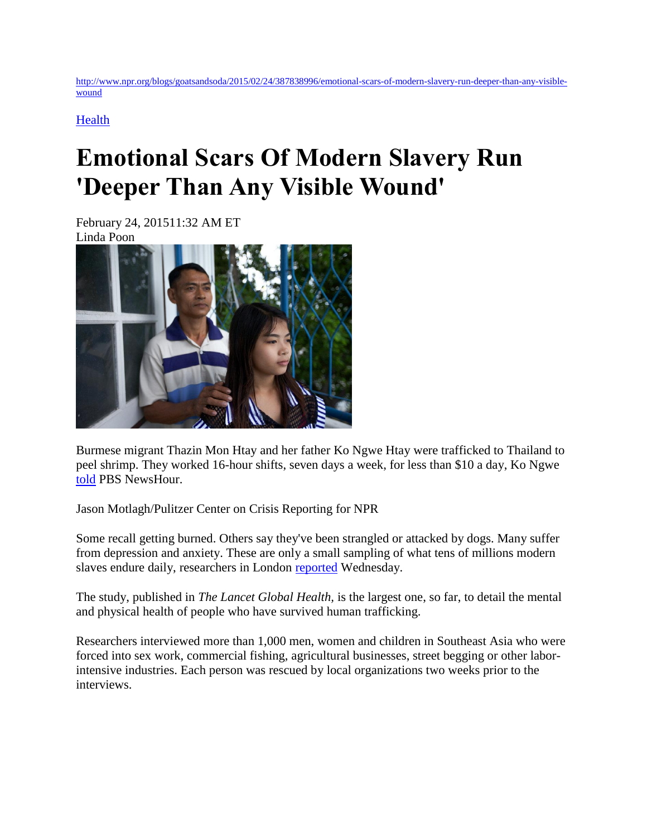[http://www.npr.org/blogs/goatsandsoda/2015/02/24/387838996/emotional-scars-of-modern-slavery-run-deeper-than-any-visible](http://www.npr.org/blogs/goatsandsoda/2015/02/24/387838996/emotional-scars-of-modern-slavery-run-deeper-than-any-visible-wound)[wound](http://www.npr.org/blogs/goatsandsoda/2015/02/24/387838996/emotional-scars-of-modern-slavery-run-deeper-than-any-visible-wound)

**[Health](http://www.npr.org/blogs/goatsandsoda/329599196/health)** 

## **Emotional Scars Of Modern Slavery Run 'Deeper Than Any Visible Wound'**

February 24, 201511:32 AM ET Linda Poon



Burmese migrant Thazin Mon Htay and her father Ko Ngwe Htay were trafficked to Thailand to peel shrimp. They worked 16-hour shifts, seven days a week, for less than \$10 a day, Ko Ngwe [told](http://www.pbs.org/newshour/bb/world-july-dec12-thaishrimp_09-20/) PBS NewsHour.

Jason Motlagh/Pulitzer Center on Crisis Reporting for NPR

Some recall getting burned. Others say they've been strangled or attacked by dogs. Many suffer from depression and anxiety. These are only a small sampling of what tens of millions modern slaves endure daily, researchers in London [reported](http://www.thelancet.com/journals/langlo/article/PIIS2214-109X%2815%2970016-1/abstract) Wednesday.

The study, published in *The Lancet Global Health,* is the largest one, so far, to detail the mental and physical health of people who have survived human trafficking.

Researchers interviewed more than 1,000 men, women and children in Southeast Asia who were forced into sex work, commercial fishing, agricultural businesses, street begging or other laborintensive industries. Each person was rescued by local organizations two weeks prior to the interviews.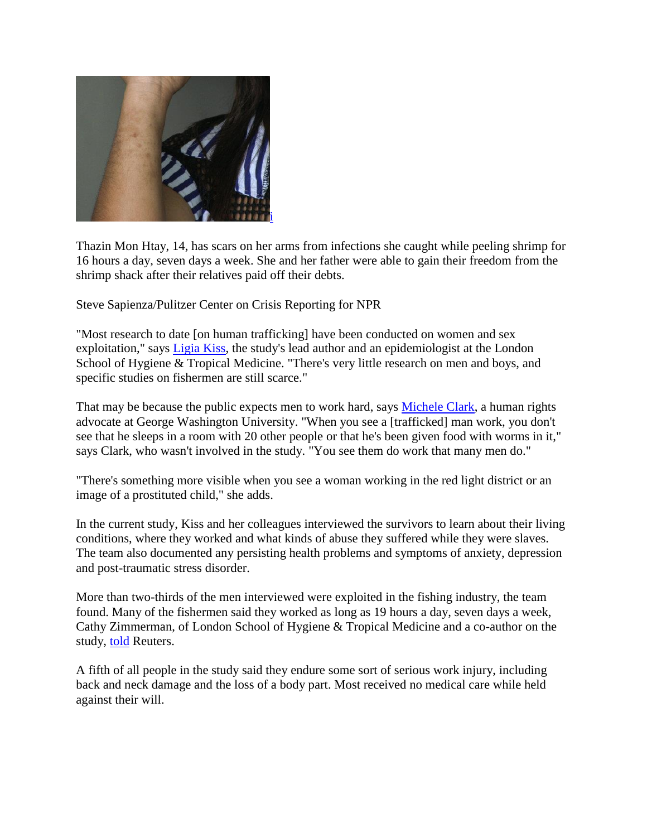

Thazin Mon Htay, 14, has scars on her arms from infections she caught while peeling shrimp for 16 hours a day, seven days a week. She and her father were able to gain their freedom from the shrimp shack after their relatives paid off their debts.

Steve Sapienza/Pulitzer Center on Crisis Reporting for NPR

"Most research to date [on human trafficking] have been conducted on women and sex exploitation," says [Ligia Kiss,](http://www.lshtm.ac.uk/aboutus/people/kiss.ligia) the study's lead author and an epidemiologist at the London School of Hygiene & Tropical Medicine. "There's very little research on men and boys, and specific studies on fishermen are still scarce."

That may be because the public expects men to work hard, says [Michele Clark,](http://globalwomensinstitute.gwu.edu/michele-clark) a human rights advocate at George Washington University. "When you see a [trafficked] man work, you don't see that he sleeps in a room with 20 other people or that he's been given food with worms in it," says Clark, who wasn't involved in the study. "You see them do work that many men do."

"There's something more visible when you see a woman working in the red light district or an image of a prostituted child," she adds.

In the current study, Kiss and her colleagues interviewed the survivors to learn about their living conditions, where they worked and what kinds of abuse they suffered while they were slaves. The team also documented any persisting health problems and symptoms of anxiety, depression and post-traumatic stress disorder.

More than two-thirds of the men interviewed were exploited in the fishing industry, the team found. Many of the fishermen said they worked as long as 19 hours a day, seven days a week, Cathy Zimmerman, of London School of Hygiene & Tropical Medicine and a co-author on the study, [told](http://www.reuters.com/article/2015/02/18/us-rights-trafficking-abuse-idUSKBN0LM00220150218) Reuters.

A fifth of all people in the study said they endure some sort of serious work injury, including back and neck damage and the loss of a body part. Most received no medical care while held against their will.